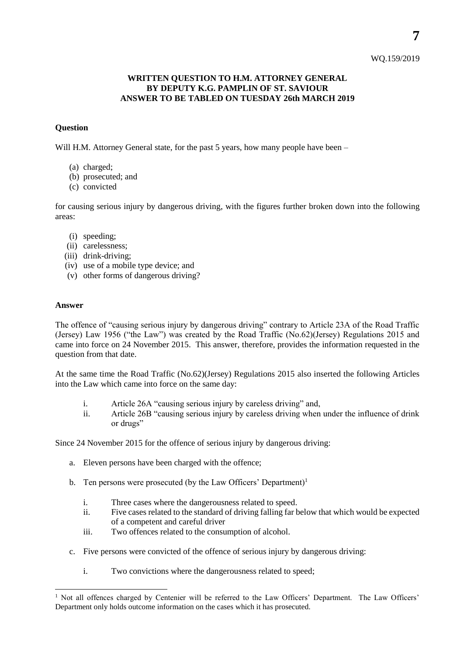## WQ.159/2019

## **WRITTEN QUESTION TO H.M. ATTORNEY GENERAL BY DEPUTY K.G. PAMPLIN OF ST. SAVIOUR ANSWER TO BE TABLED ON TUESDAY 26th MARCH 2019**

## **Question**

Will H.M. Attorney General state, for the past 5 years, how many people have been –

- (a) charged;
- (b) prosecuted; and
- (c) convicted

for causing serious injury by dangerous driving, with the figures further broken down into the following areas:

- (i) speeding;
- (ii) carelessness;
- (iii) drink-driving;
- (iv) use of a mobile type device; and
- (v) other forms of dangerous driving?

## **Answer**

l

The offence of "causing serious injury by dangerous driving" contrary to Article 23A of the Road Traffic (Jersey) Law 1956 ("the Law") was created by the Road Traffic (No.62)(Jersey) Regulations 2015 and came into force on 24 November 2015. This answer, therefore, provides the information requested in the question from that date.

At the same time the Road Traffic (No.62)(Jersey) Regulations 2015 also inserted the following Articles into the Law which came into force on the same day:

- i. Article 26A "causing serious injury by careless driving" and,
- ii. Article 26B "causing serious injury by careless driving when under the influence of drink or drugs"

Since 24 November 2015 for the offence of serious injury by dangerous driving:

- a. Eleven persons have been charged with the offence;
- b. Ten persons were prosecuted (by the Law Officers' Department)<sup>1</sup>
	- i. Three cases where the dangerousness related to speed.
	- ii. Five cases related to the standard of driving falling far below that which would be expected of a competent and careful driver
	- iii. Two offences related to the consumption of alcohol.
- c. Five persons were convicted of the offence of serious injury by dangerous driving:
	- i. Two convictions where the dangerousness related to speed;

<sup>&</sup>lt;sup>1</sup> Not all offences charged by Centenier will be referred to the Law Officers' Department. The Law Officers' Department only holds outcome information on the cases which it has prosecuted.